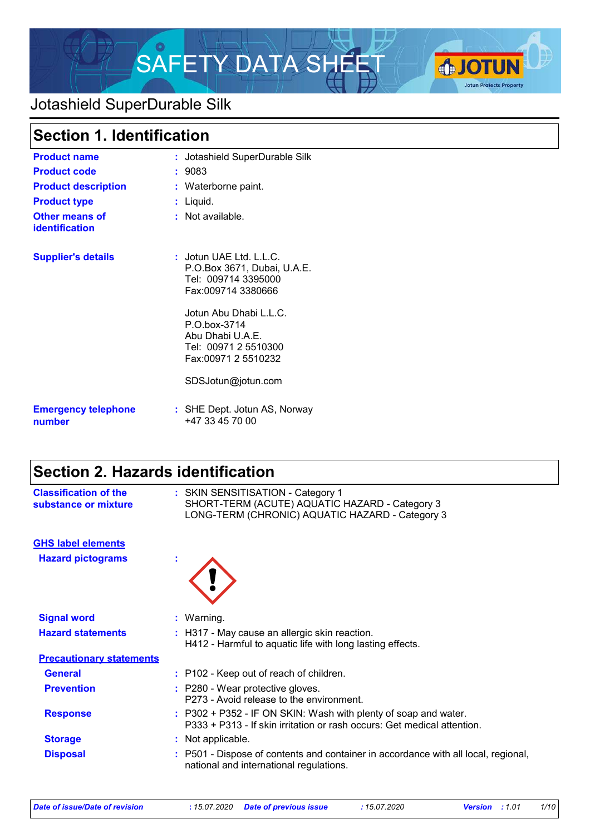

### Jotashield SuperDurable Silk

| <b>Section 1. Identification</b>        |                                                                                                           |
|-----------------------------------------|-----------------------------------------------------------------------------------------------------------|
| <b>Product name</b>                     | : Jotashield SuperDurable Silk                                                                            |
| <b>Product code</b>                     | : 9083                                                                                                    |
| <b>Product description</b>              | : Waterborne paint.                                                                                       |
| <b>Product type</b>                     | : Liquid.                                                                                                 |
| Other means of<br><b>identification</b> | : Not available.                                                                                          |
| <b>Supplier's details</b>               | $:$ Jotun UAE Ltd. L.L.C.<br>P.O.Box 3671, Dubai, U.A.E.<br>Tel: 009714 3395000<br>Fax:009714 3380666     |
|                                         | Jotun Abu Dhabi L.L.C.<br>P.O.box-3714<br>Abu Dhabi U.A.E.<br>Tel: 00971 2 5510300<br>Fax:00971 2 5510232 |
|                                         | SDSJotun@jotun.com                                                                                        |
| <b>Emergency telephone</b><br>number    | : SHE Dept. Jotun AS, Norway<br>+47 33 45 70 00                                                           |

# **Section 2. Hazards identification**

| <b>Classification of the</b><br>substance or mixture | : SKIN SENSITISATION - Category 1<br>SHORT-TERM (ACUTE) AQUATIC HAZARD - Category 3<br>LONG-TERM (CHRONIC) AQUATIC HAZARD - Category 3     |  |
|------------------------------------------------------|--------------------------------------------------------------------------------------------------------------------------------------------|--|
| <b>GHS label elements</b>                            |                                                                                                                                            |  |
| <b>Hazard pictograms</b>                             |                                                                                                                                            |  |
| <b>Signal word</b>                                   | : Warning.                                                                                                                                 |  |
| <b>Hazard statements</b>                             | : H317 - May cause an allergic skin reaction.<br>H412 - Harmful to aquatic life with long lasting effects.                                 |  |
| <b>Precautionary statements</b>                      |                                                                                                                                            |  |
| <b>General</b>                                       | : P102 - Keep out of reach of children.                                                                                                    |  |
| <b>Prevention</b>                                    | : P280 - Wear protective gloves.<br>P273 - Avoid release to the environment.                                                               |  |
| <b>Response</b>                                      | : P302 + P352 - IF ON SKIN: Wash with plenty of soap and water.<br>P333 + P313 - If skin irritation or rash occurs: Get medical attention. |  |
| <b>Storage</b>                                       | : Not applicable.                                                                                                                          |  |
| <b>Disposal</b>                                      | : P501 - Dispose of contents and container in accordance with all local, regional,<br>national and international regulations.              |  |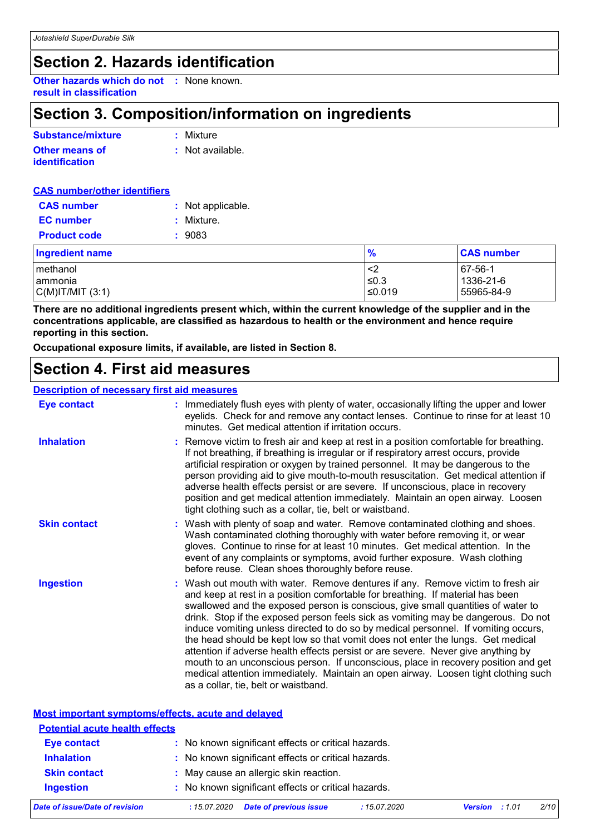### **Section 2. Hazards identification**

**Other hazards which do not :** None known. **result in classification**

### **Section 3. Composition/information on ingredients**

| Substance/mixture     | : Mixture        |
|-----------------------|------------------|
| <b>Other means of</b> | : Not available. |
| identification        |                  |

| <b>CAS number/other identifiers</b> |                   |               |                   |
|-------------------------------------|-------------------|---------------|-------------------|
| <b>CAS number</b>                   | : Not applicable. |               |                   |
| <b>EC</b> number                    | Mixture.<br>÷.    |               |                   |
| <b>Product code</b>                 | : 9083            |               |                   |
| <b>Ingredient name</b>              |                   | $\frac{9}{6}$ | <b>CAS number</b> |
| methanol                            |                   | $<$ 2         | 67-56-1           |
| ammonia                             |                   | ≤ $0.3$       | 1336-21-6         |
| C(M) T/MIT (3:1)                    |                   | ≤0.019        | 55965-84-9        |

**There are no additional ingredients present which, within the current knowledge of the supplier and in the concentrations applicable, are classified as hazardous to health or the environment and hence require reporting in this section.**

**Occupational exposure limits, if available, are listed in Section 8.**

### **Section 4. First aid measures**

#### **Description of necessary first aid measures**

| <b>Eye contact</b>  | : Immediately flush eyes with plenty of water, occasionally lifting the upper and lower<br>eyelids. Check for and remove any contact lenses. Continue to rinse for at least 10<br>minutes. Get medical attention if irritation occurs.                                                                                                                                                                                                                                                                                                                                                                                                                                                                                                                                                                                       |
|---------------------|------------------------------------------------------------------------------------------------------------------------------------------------------------------------------------------------------------------------------------------------------------------------------------------------------------------------------------------------------------------------------------------------------------------------------------------------------------------------------------------------------------------------------------------------------------------------------------------------------------------------------------------------------------------------------------------------------------------------------------------------------------------------------------------------------------------------------|
| <b>Inhalation</b>   | : Remove victim to fresh air and keep at rest in a position comfortable for breathing.<br>If not breathing, if breathing is irregular or if respiratory arrest occurs, provide<br>artificial respiration or oxygen by trained personnel. It may be dangerous to the<br>person providing aid to give mouth-to-mouth resuscitation. Get medical attention if<br>adverse health effects persist or are severe. If unconscious, place in recovery<br>position and get medical attention immediately. Maintain an open airway. Loosen<br>tight clothing such as a collar, tie, belt or waistband.                                                                                                                                                                                                                                 |
| <b>Skin contact</b> | : Wash with plenty of soap and water. Remove contaminated clothing and shoes.<br>Wash contaminated clothing thoroughly with water before removing it, or wear<br>gloves. Continue to rinse for at least 10 minutes. Get medical attention. In the<br>event of any complaints or symptoms, avoid further exposure. Wash clothing<br>before reuse. Clean shoes thoroughly before reuse.                                                                                                                                                                                                                                                                                                                                                                                                                                        |
| <b>Ingestion</b>    | : Wash out mouth with water. Remove dentures if any. Remove victim to fresh air<br>and keep at rest in a position comfortable for breathing. If material has been<br>swallowed and the exposed person is conscious, give small quantities of water to<br>drink. Stop if the exposed person feels sick as vomiting may be dangerous. Do not<br>induce vomiting unless directed to do so by medical personnel. If vomiting occurs,<br>the head should be kept low so that vomit does not enter the lungs. Get medical<br>attention if adverse health effects persist or are severe. Never give anything by<br>mouth to an unconscious person. If unconscious, place in recovery position and get<br>medical attention immediately. Maintain an open airway. Loosen tight clothing such<br>as a collar, tie, belt or waistband. |

|                                       | Most important symptoms/effects, acute and delayed  |                                      |      |
|---------------------------------------|-----------------------------------------------------|--------------------------------------|------|
| <b>Potential acute health effects</b> |                                                     |                                      |      |
| <b>Eye contact</b>                    | : No known significant effects or critical hazards. |                                      |      |
| <b>Inhalation</b>                     | : No known significant effects or critical hazards. |                                      |      |
| <b>Skin contact</b>                   | : May cause an allergic skin reaction.              |                                      |      |
| <b>Ingestion</b>                      | : No known significant effects or critical hazards. |                                      |      |
| <b>Date of issue/Date of revision</b> | <b>Date of previous issue</b><br>:15.07.2020        | :15.07.2020<br><b>Version</b> : 1.01 | 2/10 |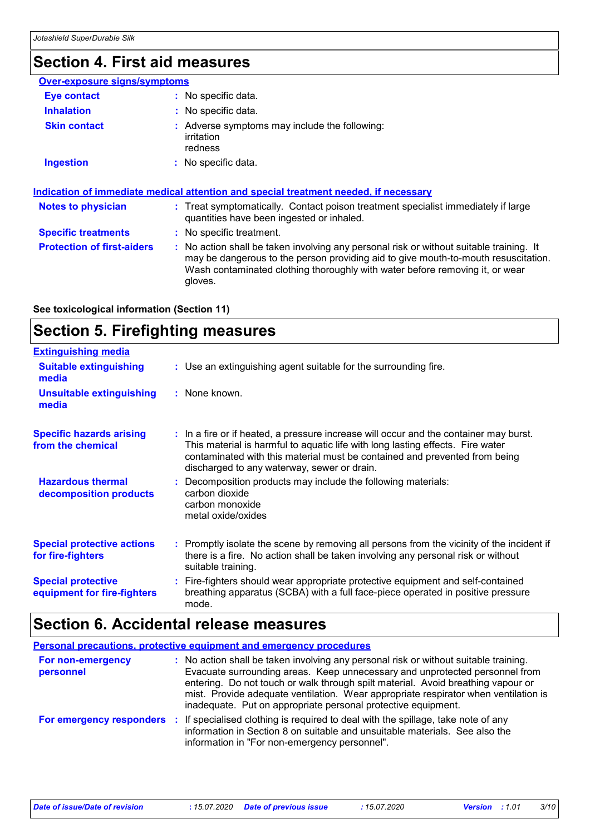# **Section 4. First aid measures**

| <b>Over-exposure signs/symptoms</b> |                                                                                                                                                                                                                                                                          |
|-------------------------------------|--------------------------------------------------------------------------------------------------------------------------------------------------------------------------------------------------------------------------------------------------------------------------|
| <b>Eye contact</b>                  | : No specific data.                                                                                                                                                                                                                                                      |
| <b>Inhalation</b>                   | : No specific data.                                                                                                                                                                                                                                                      |
| <b>Skin contact</b>                 | : Adverse symptoms may include the following:<br><i>irritation</i><br>redness                                                                                                                                                                                            |
| <b>Ingestion</b>                    | : No specific data.                                                                                                                                                                                                                                                      |
| <b>Notes to physician</b>           | Indication of immediate medical attention and special treatment needed, if necessary<br>: Treat symptomatically. Contact poison treatment specialist immediately if large<br>quantities have been ingested or inhaled.                                                   |
| <b>Specific treatments</b>          | : No specific treatment.                                                                                                                                                                                                                                                 |
| <b>Protection of first-aiders</b>   | : No action shall be taken involving any personal risk or without suitable training. It<br>may be dangerous to the person providing aid to give mouth-to-mouth resuscitation.<br>Wash contaminated clothing thoroughly with water before removing it, or wear<br>gloves. |

**See toxicological information (Section 11)**

# **Section 5. Firefighting measures**

| <b>Extinguishing media</b>                               |                                                                                                                                                                                                                                                                                                      |
|----------------------------------------------------------|------------------------------------------------------------------------------------------------------------------------------------------------------------------------------------------------------------------------------------------------------------------------------------------------------|
| <b>Suitable extinguishing</b><br>media                   | : Use an extinguishing agent suitable for the surrounding fire.                                                                                                                                                                                                                                      |
| <b>Unsuitable extinguishing</b><br>media                 | : None known.                                                                                                                                                                                                                                                                                        |
| <b>Specific hazards arising</b><br>from the chemical     | : In a fire or if heated, a pressure increase will occur and the container may burst.<br>This material is harmful to aquatic life with long lasting effects. Fire water<br>contaminated with this material must be contained and prevented from being<br>discharged to any waterway, sewer or drain. |
| <b>Hazardous thermal</b><br>decomposition products       | : Decomposition products may include the following materials:<br>carbon dioxide<br>carbon monoxide<br>metal oxide/oxides                                                                                                                                                                             |
| <b>Special protective actions</b><br>for fire-fighters   | : Promptly isolate the scene by removing all persons from the vicinity of the incident if<br>there is a fire. No action shall be taken involving any personal risk or without<br>suitable training.                                                                                                  |
| <b>Special protective</b><br>equipment for fire-fighters | : Fire-fighters should wear appropriate protective equipment and self-contained<br>breathing apparatus (SCBA) with a full face-piece operated in positive pressure<br>mode.                                                                                                                          |

# **Section 6. Accidental release measures**

| <b>Personal precautions, protective equipment and emergency procedures</b> |                                                                                                                                                                                                                                                                                                                                                                                                                 |  |  |
|----------------------------------------------------------------------------|-----------------------------------------------------------------------------------------------------------------------------------------------------------------------------------------------------------------------------------------------------------------------------------------------------------------------------------------------------------------------------------------------------------------|--|--|
| For non-emergency<br>personnel                                             | : No action shall be taken involving any personal risk or without suitable training.<br>Evacuate surrounding areas. Keep unnecessary and unprotected personnel from<br>entering. Do not touch or walk through spilt material. Avoid breathing vapour or<br>mist. Provide adequate ventilation. Wear appropriate respirator when ventilation is<br>inadequate. Put on appropriate personal protective equipment. |  |  |
|                                                                            | For emergency responders : If specialised clothing is required to deal with the spillage, take note of any<br>information in Section 8 on suitable and unsuitable materials. See also the<br>information in "For non-emergency personnel".                                                                                                                                                                      |  |  |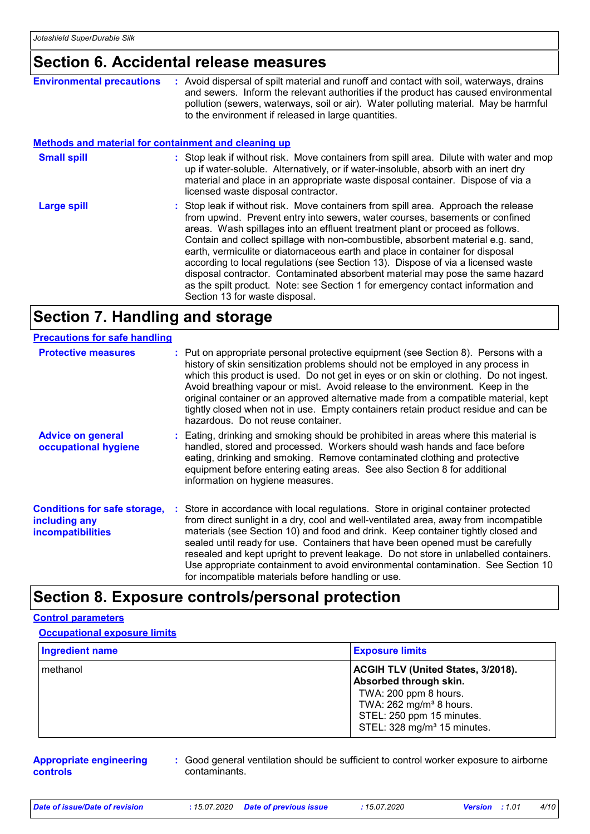### **Section 6. Accidental release measures**

| <b>Environmental precautions</b>                            | : Avoid dispersal of spilt material and runoff and contact with soil, waterways, drains<br>and sewers. Inform the relevant authorities if the product has caused environmental<br>pollution (sewers, waterways, soil or air). Water polluting material. May be harmful<br>to the environment if released in large quantities.                                                                                                                                                                                                                                                                                                                                                                                     |
|-------------------------------------------------------------|-------------------------------------------------------------------------------------------------------------------------------------------------------------------------------------------------------------------------------------------------------------------------------------------------------------------------------------------------------------------------------------------------------------------------------------------------------------------------------------------------------------------------------------------------------------------------------------------------------------------------------------------------------------------------------------------------------------------|
| <u>Methods and material for containment and cleaning up</u> |                                                                                                                                                                                                                                                                                                                                                                                                                                                                                                                                                                                                                                                                                                                   |
| <b>Small spill</b>                                          | : Stop leak if without risk. Move containers from spill area. Dilute with water and mop<br>up if water-soluble. Alternatively, or if water-insoluble, absorb with an inert dry<br>material and place in an appropriate waste disposal container. Dispose of via a<br>licensed waste disposal contractor.                                                                                                                                                                                                                                                                                                                                                                                                          |
| <b>Large spill</b>                                          | : Stop leak if without risk. Move containers from spill area. Approach the release<br>from upwind. Prevent entry into sewers, water courses, basements or confined<br>areas. Wash spillages into an effluent treatment plant or proceed as follows.<br>Contain and collect spillage with non-combustible, absorbent material e.g. sand,<br>earth, vermiculite or diatomaceous earth and place in container for disposal<br>according to local regulations (see Section 13). Dispose of via a licensed waste<br>disposal contractor. Contaminated absorbent material may pose the same hazard<br>as the spilt product. Note: see Section 1 for emergency contact information and<br>Section 13 for waste disposal. |

### **Section 7. Handling and storage**

#### **Advice on general occupational hygiene Conditions for safe storage, : Store in accordance with local regulations. Store in original container protected including any incompatibilities** Eating, drinking and smoking should be prohibited in areas where this material is **:** handled, stored and processed. Workers should wash hands and face before eating, drinking and smoking. Remove contaminated clothing and protective equipment before entering eating areas. See also Section 8 for additional information on hygiene measures. from direct sunlight in a dry, cool and well-ventilated area, away from incompatible materials (see Section 10) and food and drink. Keep container tightly closed and sealed until ready for use. Containers that have been opened must be carefully resealed and kept upright to prevent leakage. Do not store in unlabelled containers. Use appropriate containment to avoid environmental contamination. See Section 10 for incompatible materials before handling or use. **Protective measures** : Put on appropriate personal protective equipment (see Section 8). Persons with a **Protestion** history of skin sensitization problems should not be employed in any process in which this product is used. Do not get in eyes or on skin or clothing. Do not ingest. Avoid breathing vapour or mist. Avoid release to the environment. Keep in the original container or an approved alternative made from a compatible material, kept tightly closed when not in use. Empty containers retain product residue and can be hazardous. Do not reuse container. **Precautions for safe handling**

### **Section 8. Exposure controls/personal protection**

### **Control parameters**

| <b>Ingredient name</b> | <b>Exposure limits</b>                    |
|------------------------|-------------------------------------------|
| Imethanol              | <b>ACGIH TLV (United States, 3/2018).</b> |
|                        | <b>Absorbed through skin.</b>             |
|                        | TWA: 200 ppm 8 hours.                     |
|                        | TWA: $262$ mg/m <sup>3</sup> 8 hours.     |
|                        | STEL: 250 ppm 15 minutes.                 |
|                        | STEL: 328 mg/m <sup>3</sup> 15 minutes.   |

#### **Appropriate engineering controls**

**:** Good general ventilation should be sufficient to control worker exposure to airborne contaminants.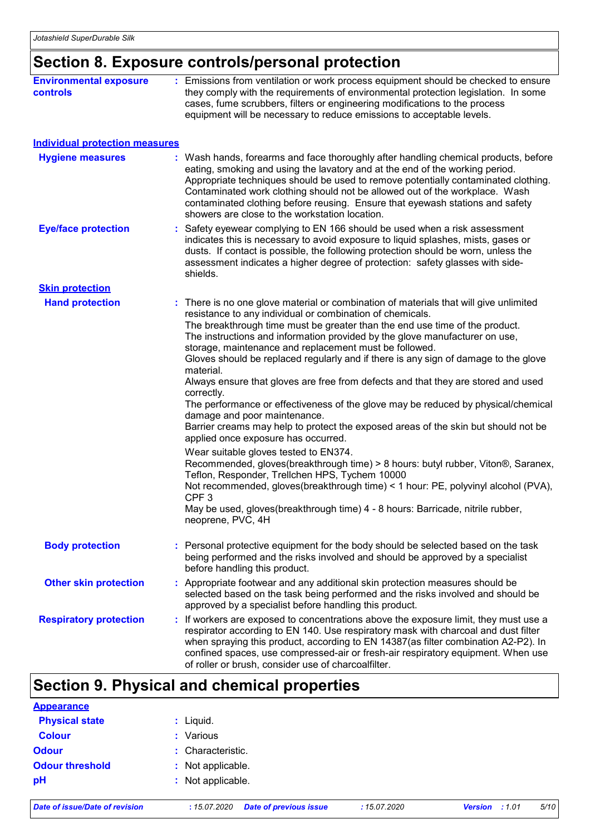# **Section 8. Exposure controls/personal protection**

| <b>Environmental exposure</b><br>controls | : Emissions from ventilation or work process equipment should be checked to ensure<br>they comply with the requirements of environmental protection legislation. In some<br>cases, fume scrubbers, filters or engineering modifications to the process<br>equipment will be necessary to reduce emissions to acceptable levels.                                                                                                                                                                                                                                                                                                                                                                                                                                                                                                                                                                                                                                                                                                                                                                                                                                                                                                    |
|-------------------------------------------|------------------------------------------------------------------------------------------------------------------------------------------------------------------------------------------------------------------------------------------------------------------------------------------------------------------------------------------------------------------------------------------------------------------------------------------------------------------------------------------------------------------------------------------------------------------------------------------------------------------------------------------------------------------------------------------------------------------------------------------------------------------------------------------------------------------------------------------------------------------------------------------------------------------------------------------------------------------------------------------------------------------------------------------------------------------------------------------------------------------------------------------------------------------------------------------------------------------------------------|
| <b>Individual protection measures</b>     |                                                                                                                                                                                                                                                                                                                                                                                                                                                                                                                                                                                                                                                                                                                                                                                                                                                                                                                                                                                                                                                                                                                                                                                                                                    |
| <b>Hygiene measures</b>                   | : Wash hands, forearms and face thoroughly after handling chemical products, before<br>eating, smoking and using the lavatory and at the end of the working period.<br>Appropriate techniques should be used to remove potentially contaminated clothing.<br>Contaminated work clothing should not be allowed out of the workplace. Wash<br>contaminated clothing before reusing. Ensure that eyewash stations and safety<br>showers are close to the workstation location.                                                                                                                                                                                                                                                                                                                                                                                                                                                                                                                                                                                                                                                                                                                                                        |
| <b>Eye/face protection</b>                | : Safety eyewear complying to EN 166 should be used when a risk assessment<br>indicates this is necessary to avoid exposure to liquid splashes, mists, gases or<br>dusts. If contact is possible, the following protection should be worn, unless the<br>assessment indicates a higher degree of protection: safety glasses with side-<br>shields.                                                                                                                                                                                                                                                                                                                                                                                                                                                                                                                                                                                                                                                                                                                                                                                                                                                                                 |
| <b>Skin protection</b>                    |                                                                                                                                                                                                                                                                                                                                                                                                                                                                                                                                                                                                                                                                                                                                                                                                                                                                                                                                                                                                                                                                                                                                                                                                                                    |
| <b>Hand protection</b>                    | : There is no one glove material or combination of materials that will give unlimited<br>resistance to any individual or combination of chemicals.<br>The breakthrough time must be greater than the end use time of the product.<br>The instructions and information provided by the glove manufacturer on use,<br>storage, maintenance and replacement must be followed.<br>Gloves should be replaced regularly and if there is any sign of damage to the glove<br>material.<br>Always ensure that gloves are free from defects and that they are stored and used<br>correctly.<br>The performance or effectiveness of the glove may be reduced by physical/chemical<br>damage and poor maintenance.<br>Barrier creams may help to protect the exposed areas of the skin but should not be<br>applied once exposure has occurred.<br>Wear suitable gloves tested to EN374.<br>Recommended, gloves(breakthrough time) > 8 hours: butyl rubber, Viton®, Saranex,<br>Teflon, Responder, Trellchen HPS, Tychem 10000<br>Not recommended, gloves(breakthrough time) < 1 hour: PE, polyvinyl alcohol (PVA),<br>CPF <sub>3</sub><br>May be used, gloves(breakthrough time) 4 - 8 hours: Barricade, nitrile rubber,<br>neoprene, PVC, 4H |
| <b>Body protection</b>                    | : Personal protective equipment for the body should be selected based on the task<br>being performed and the risks involved and should be approved by a specialist<br>before handling this product.                                                                                                                                                                                                                                                                                                                                                                                                                                                                                                                                                                                                                                                                                                                                                                                                                                                                                                                                                                                                                                |
| <b>Other skin protection</b>              | : Appropriate footwear and any additional skin protection measures should be<br>selected based on the task being performed and the risks involved and should be<br>approved by a specialist before handling this product.                                                                                                                                                                                                                                                                                                                                                                                                                                                                                                                                                                                                                                                                                                                                                                                                                                                                                                                                                                                                          |
| <b>Respiratory protection</b>             | : If workers are exposed to concentrations above the exposure limit, they must use a<br>respirator according to EN 140. Use respiratory mask with charcoal and dust filter<br>when spraying this product, according to EN 14387(as filter combination A2-P2). In<br>confined spaces, use compressed-air or fresh-air respiratory equipment. When use<br>of roller or brush, consider use of charcoalfilter.                                                                                                                                                                                                                                                                                                                                                                                                                                                                                                                                                                                                                                                                                                                                                                                                                        |

# **Section 9. Physical and chemical properties**

| <b>Appearance</b>      |                   |
|------------------------|-------------------|
| <b>Physical state</b>  | $:$ Liquid.       |
| <b>Colour</b>          | : Various         |
| <b>Odour</b>           | : Characteristic. |
| <b>Odour threshold</b> | : Not applicable. |
| рH                     | : Not applicable. |
|                        |                   |

*Date of issue/Date of revision* **:** *15.07.2020 Date of previous issue : 15.07.2020 Version : 1.01 5/10*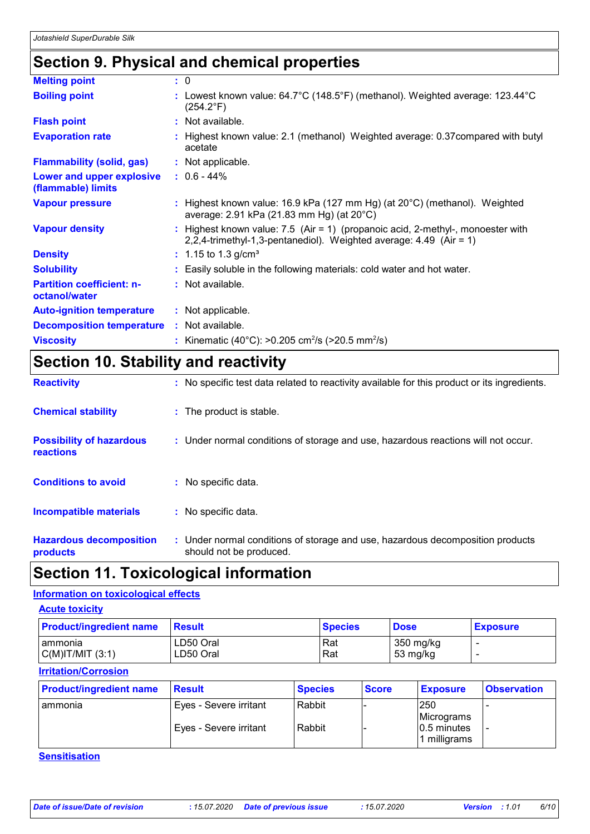# **Section 9. Physical and chemical properties**

| <b>Melting point</b>                              | : 0                                                                                                                                                     |
|---------------------------------------------------|---------------------------------------------------------------------------------------------------------------------------------------------------------|
| <b>Boiling point</b>                              | : Lowest known value: $64.7^{\circ}$ C (148.5 $^{\circ}$ F) (methanol). Weighted average: 123.44 $^{\circ}$ C<br>(254.2°F)                              |
| <b>Flash point</b>                                | $:$ Not available.                                                                                                                                      |
| <b>Evaporation rate</b>                           | : Highest known value: 2.1 (methanol) Weighted average: 0.37 compared with butyl<br>acetate                                                             |
| <b>Flammability (solid, gas)</b>                  | : Not applicable.                                                                                                                                       |
| Lower and upper explosive<br>(flammable) limits   | $: 0.6 - 44\%$                                                                                                                                          |
| <b>Vapour pressure</b>                            | : Highest known value: 16.9 kPa (127 mm Hg) (at $20^{\circ}$ C) (methanol). Weighted<br>average: 2.91 kPa (21.83 mm Hg) (at 20°C)                       |
| <b>Vapour density</b>                             | : Highest known value: 7.5 (Air = 1) (propanoic acid, 2-methyl-, monoester with<br>2,2,4-trimethyl-1,3-pentanediol). Weighted average: $4.49$ (Air = 1) |
| <b>Density</b>                                    | $: 1.15$ to 1.3 g/cm <sup>3</sup>                                                                                                                       |
| <b>Solubility</b>                                 | : Easily soluble in the following materials: cold water and hot water.                                                                                  |
| <b>Partition coefficient: n-</b><br>octanol/water | $:$ Not available.                                                                                                                                      |
| <b>Auto-ignition temperature</b>                  | : Not applicable.                                                                                                                                       |
| <b>Decomposition temperature</b>                  | : Not available.                                                                                                                                        |
| <b>Viscosity</b>                                  | : Kinematic (40°C): >0.205 cm <sup>2</sup> /s (>20.5 mm <sup>2</sup> /s)                                                                                |
|                                                   |                                                                                                                                                         |

# **Section 10. Stability and reactivity**

| <b>Reactivity</b>                            | : No specific test data related to reactivity available for this product or its ingredients.              |
|----------------------------------------------|-----------------------------------------------------------------------------------------------------------|
| <b>Chemical stability</b>                    | : The product is stable.                                                                                  |
| <b>Possibility of hazardous</b><br>reactions | : Under normal conditions of storage and use, hazardous reactions will not occur.                         |
| <b>Conditions to avoid</b>                   | : No specific data.                                                                                       |
| <b>Incompatible materials</b>                | No specific data.<br>t.                                                                                   |
| <b>Hazardous decomposition</b><br>products   | : Under normal conditions of storage and use, hazardous decomposition products<br>should not be produced. |

# **Section 11. Toxicological information**

### **Information on toxicological effects**

| <b>Acute toxicity</b>          |                        |                |              |                       |                    |
|--------------------------------|------------------------|----------------|--------------|-----------------------|--------------------|
| <b>Product/ingredient name</b> | <b>Result</b>          | <b>Species</b> | <b>Dose</b>  |                       | <b>Exposure</b>    |
| lammonia<br> C(M) T/M T(3:1)   | LD50 Oral<br>LD50 Oral | Rat<br>Rat     |              | 350 mg/kg<br>53 mg/kg |                    |
| <b>Irritation/Corrosion</b>    |                        |                |              |                       |                    |
| <b>Product/ingredient name</b> | <b>Result</b>          | <b>Species</b> | <b>Score</b> | <b>Exposure</b>       | <b>Observation</b> |

| <b>FIVUULUIIIUI CUICIII IIAIIIC</b> | <b>Result</b>          | <b>ODECIES</b> | <b>POLICE</b> | EXPOSUIT                                              | <u>FUDSEI VALIUIT</u> |
|-------------------------------------|------------------------|----------------|---------------|-------------------------------------------------------|-----------------------|
| ammonia                             | Eves - Severe irritant | Rabbit         |               | l250                                                  |                       |
|                                     | Eyes - Severe irritant | Rabbit         |               | Micrograms<br>$ 0.5 \text{ minutes} $<br>1 milligrams |                       |

### **Sensitisation**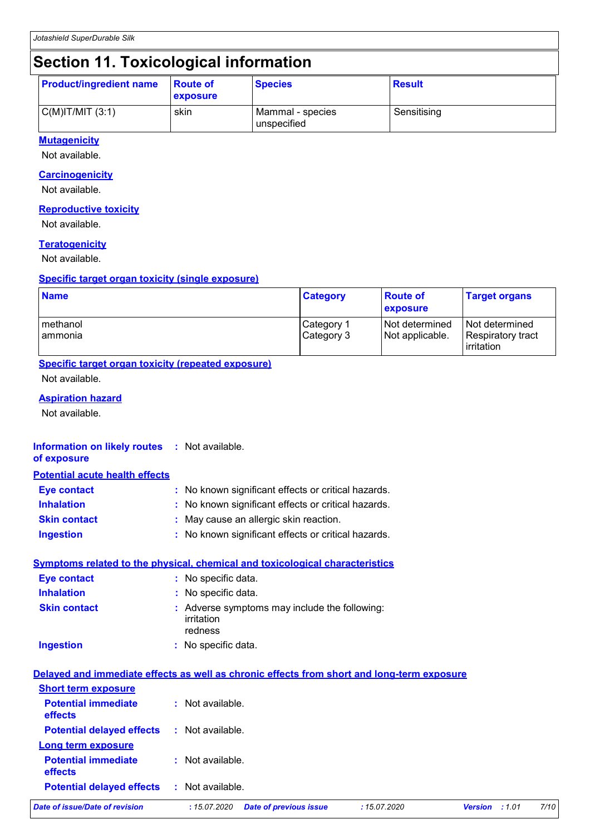# **Section 11. Toxicological information**

| <b>Product/ingredient name</b> | <b>Route of</b><br><b>exposure</b> | <b>Species</b>                  | <b>Result</b> |
|--------------------------------|------------------------------------|---------------------------------|---------------|
| $C(M)$ IT/MIT $(3:1)$          | skin                               | Mammal - species<br>unspecified | Sensitising   |

#### **Mutagenicity**

Not available.

#### **Carcinogenicity**

Not available.

#### **Reproductive toxicity**

Not available.

### **Teratogenicity**

Not available.

#### **Specific target organ toxicity (single exposure)**

| <b>Name</b>             | <b>Category</b>          | <b>Boute of</b><br><b>exposure</b> | <b>Target organs</b>                                |
|-------------------------|--------------------------|------------------------------------|-----------------------------------------------------|
| I methanol<br>I ammonia | Category 1<br>Category 3 | Not determined<br>Not applicable.  | Not determined<br>  Respiratory tract<br>irritation |

### **Specific target organ toxicity (repeated exposure)**

Not available.

### **Aspiration hazard**

Not available.

### **Information on likely routes :** Not available. **of exposure Inhalation :** No known significant effects or critical hazards. **Skin contact :** May cause an allergic skin reaction. **Eye contact :** No known significant effects or critical hazards. **Potential acute health effects**

#### **Ingestion :** No known significant effects or critical hazards.

#### **Symptoms related to the physical, chemical and toxicological characteristics**

| Eye contact         | : No specific data.                                                    |
|---------------------|------------------------------------------------------------------------|
| <b>Inhalation</b>   | : No specific data.                                                    |
| <b>Skin contact</b> | : Adverse symptoms may include the following:<br>irritation<br>redness |
| <b>Ingestion</b>    | : No specific data.                                                    |

### **Delayed and immediate effects as well as chronic effects from short and long-term exposure**

| <b>Short term exposure</b>                                    |                                              |              |                          |      |
|---------------------------------------------------------------|----------------------------------------------|--------------|--------------------------|------|
| <b>Potential immediate</b><br><b>effects</b>                  | : Not available.                             |              |                          |      |
| <b>Potential delayed effects</b><br><b>Long term exposure</b> | : Not available.                             |              |                          |      |
| <b>Potential immediate</b><br>effects                         | : Not available.                             |              |                          |      |
| <b>Potential delayed effects : Not available.</b>             |                                              |              |                          |      |
| Date of issue/Date of revision                                | <b>Date of previous issue</b><br>:15.07.2020 | : 15.07.2020 | <b>Version</b><br>: 1.01 | 7/10 |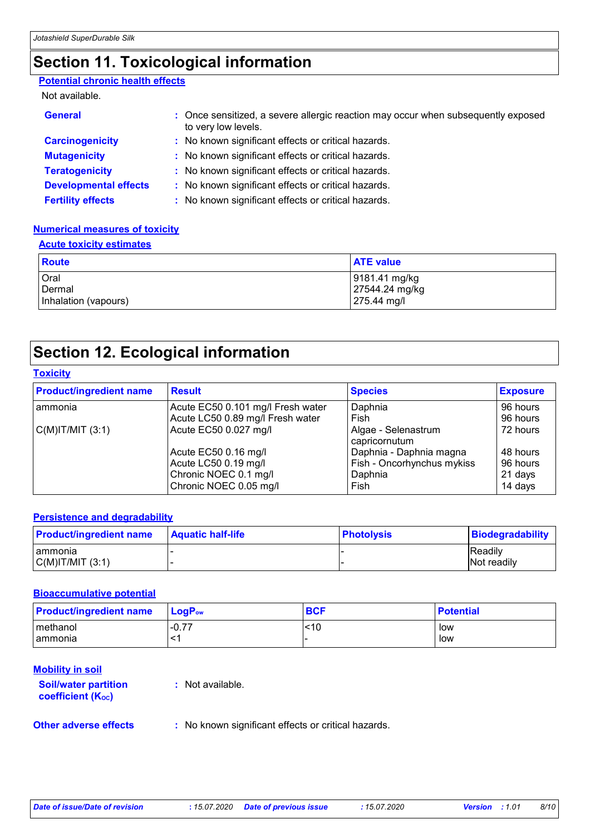# **Section 11. Toxicological information**

#### **Potential chronic health effects**

### Not available.

| <b>General</b>               | : Once sensitized, a severe allergic reaction may occur when subsequently exposed<br>to very low levels. |
|------------------------------|----------------------------------------------------------------------------------------------------------|
| <b>Carcinogenicity</b>       | : No known significant effects or critical hazards.                                                      |
| <b>Mutagenicity</b>          | : No known significant effects or critical hazards.                                                      |
| <b>Teratogenicity</b>        | : No known significant effects or critical hazards.                                                      |
| <b>Developmental effects</b> | : No known significant effects or critical hazards.                                                      |
| <b>Fertility effects</b>     | : No known significant effects or critical hazards.                                                      |

### **Numerical measures of toxicity**

#### **Acute toxicity estimates**

| <b>Route</b>         | <b>ATE value</b> |
|----------------------|------------------|
| Oral                 | 9181.41 mg/kg    |
| Dermal               | 27544.24 mg/kg   |
| Inhalation (vapours) | 275.44 mg/l      |

# **Section 12. Ecological information**

### **Toxicity**

| <b>Product/ingredient name</b> | <b>Result</b>                     | <b>Species</b>                       | <b>Exposure</b> |
|--------------------------------|-----------------------------------|--------------------------------------|-----------------|
| ammonia                        | Acute EC50 0.101 mg/l Fresh water | Daphnia                              | 96 hours        |
|                                | Acute LC50 0.89 mg/l Fresh water  | Fish                                 | 96 hours        |
| $C(M)$ IT/MIT $(3:1)$          | Acute EC50 0.027 mg/l             | Algae - Selenastrum<br>capricornutum | 72 hours        |
|                                | Acute EC50 0.16 mg/l              | Daphnia - Daphnia magna              | 48 hours        |
|                                | Acute LC50 0.19 mg/l              | Fish - Oncorhynchus mykiss           | 96 hours        |
|                                | Chronic NOEC 0.1 mg/l             | Daphnia                              | 21 days         |
|                                | Chronic NOEC 0.05 mg/l            | Fish                                 | 14 days         |

#### **Persistence and degradability**

| <b>Product/ingredient name</b>     | <b>Aquatic half-life</b> | <b>Photolysis</b> | <b>Biodegradability</b>       |
|------------------------------------|--------------------------|-------------------|-------------------------------|
| ' ammonia<br>$C(M)$ IT/MIT $(3:1)$ |                          |                   | Readily<br><b>Not readily</b> |

### **Bioaccumulative potential**

| <b>Product/ingredient name</b> | <b>LogP</b> ‱ | <b>BCF</b> | <b>Potential</b> |
|--------------------------------|---------------|------------|------------------|
| I methanol                     | $-0.77$       | <10        | low              |
| I ammonia                      | - -           |            | low              |

#### **Mobility in soil**

| <b>Soil/water partition</b><br>coefficient (Koc) | : Not available. |
|--------------------------------------------------|------------------|
|                                                  |                  |

**Other adverse effects** : No known significant effects or critical hazards.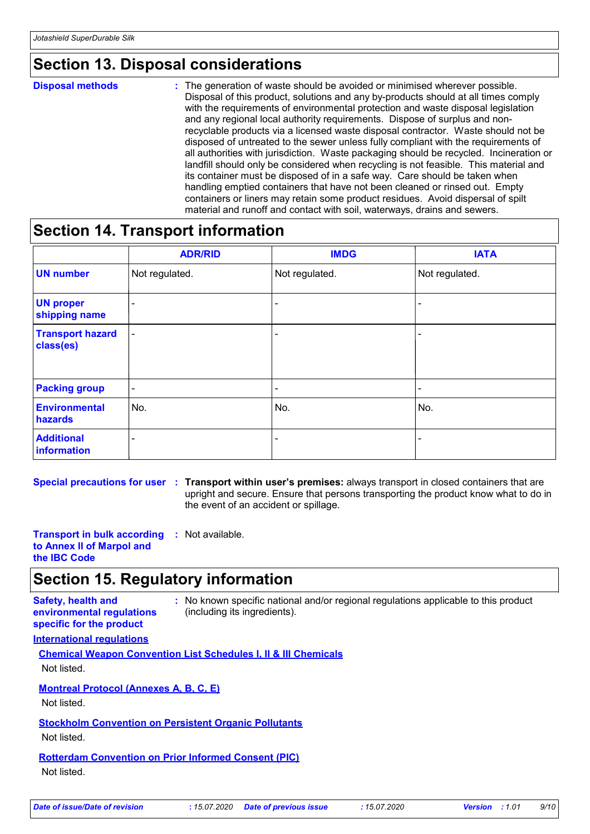### **Section 13. Disposal considerations**

#### The generation of waste should be avoided or minimised wherever possible. Disposal of this product, solutions and any by-products should at all times comply with the requirements of environmental protection and waste disposal legislation and any regional local authority requirements. Dispose of surplus and nonrecyclable products via a licensed waste disposal contractor. Waste should not be disposed of untreated to the sewer unless fully compliant with the requirements of all authorities with jurisdiction. Waste packaging should be recycled. Incineration or landfill should only be considered when recycling is not feasible. This material and its container must be disposed of in a safe way. Care should be taken when handling emptied containers that have not been cleaned or rinsed out. Empty containers or liners may retain some product residues. Avoid dispersal of spilt material and runoff and contact with soil, waterways, drains and sewers. **Disposal methods :**

### **Section 14. Transport information**

|                                      | <b>ADR/RID</b>           | <b>IMDG</b>    | <b>IATA</b>    |
|--------------------------------------|--------------------------|----------------|----------------|
| <b>UN number</b>                     | Not regulated.           | Not regulated. | Not regulated. |
| <b>UN proper</b><br>shipping name    | $\blacksquare$           |                |                |
| <b>Transport hazard</b><br>class(es) | $\blacksquare$           |                | -              |
| <b>Packing group</b>                 | $\blacksquare$           | $\blacksquare$ | ٠              |
| <b>Environmental</b><br>hazards      | No.                      | No.            | No.            |
| <b>Additional</b><br>information     | $\overline{\phantom{a}}$ |                | -              |

**Special precautions for user Transport within user's premises:** always transport in closed containers that are **:** upright and secure. Ensure that persons transporting the product know what to do in the event of an accident or spillage.

**Transport in bulk according :** Not available. **to Annex II of Marpol and the IBC Code**

### **Section 15. Regulatory information**

```
Safety, health and 
environmental regulations 
specific for the product
```
**:** No known specific national and/or regional regulations applicable to this product (including its ingredients).

### **International regulations**

**Chemical Weapon Convention List Schedules I, II & III Chemicals** Not listed.

### **Montreal Protocol (Annexes A, B, C, E)**

Not listed.

# **Stockholm Convention on Persistent Organic Pollutants**

Not listed.

# **Rotterdam Convention on Prior Informed Consent (PIC)**

Not listed.